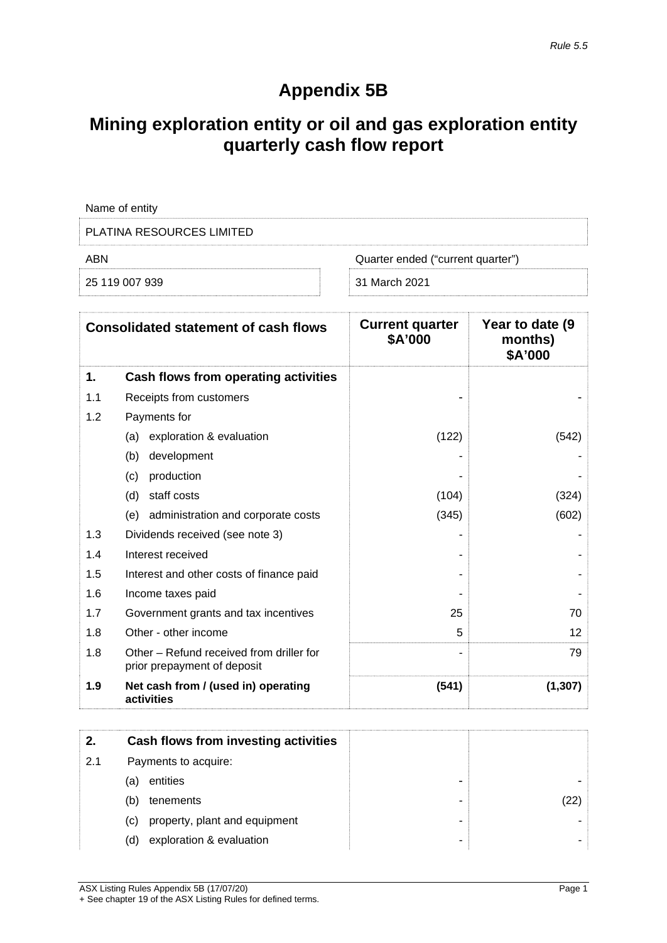# **Appendix 5B**

## **Mining exploration entity or oil and gas exploration entity quarterly cash flow report**

|                                                                                  | Name of entity                                                          |                                       |          |
|----------------------------------------------------------------------------------|-------------------------------------------------------------------------|---------------------------------------|----------|
|                                                                                  | <b>PLATINA RESOURCES LIMITED</b>                                        |                                       |          |
| ABN                                                                              | Quarter ended ("current quarter")                                       |                                       |          |
|                                                                                  | 25 119 007 939                                                          | 31 March 2021                         |          |
|                                                                                  |                                                                         |                                       |          |
| <b>Current quarter</b><br><b>Consolidated statement of cash flows</b><br>\$A'000 |                                                                         | Year to date (9<br>months)<br>\$A'000 |          |
| 1.                                                                               | Cash flows from operating activities                                    |                                       |          |
| 1.1                                                                              | Receipts from customers                                                 |                                       |          |
| 1.2                                                                              | Payments for                                                            |                                       |          |
|                                                                                  | exploration & evaluation<br>(a)                                         | (122)                                 | (542)    |
|                                                                                  | (b)<br>development                                                      |                                       |          |
|                                                                                  | production<br>(c)                                                       |                                       |          |
|                                                                                  | staff costs<br>(d)                                                      | (104)                                 | (324)    |
|                                                                                  | administration and corporate costs<br>(e)                               | (345)                                 | (602)    |
| 1.3                                                                              | Dividends received (see note 3)                                         |                                       |          |
| 1.4                                                                              | Interest received                                                       |                                       |          |
| 1.5                                                                              | Interest and other costs of finance paid                                |                                       |          |
| 1.6                                                                              | Income taxes paid                                                       |                                       |          |
| 1.7                                                                              | Government grants and tax incentives                                    | 25                                    | 70       |
| 1.8                                                                              | Other - other income                                                    | 5                                     | 12       |
| 1.8                                                                              | Other - Refund received from driller for<br>prior prepayment of deposit |                                       | 79       |
| 1.9                                                                              | Net cash from / (used in) operating<br>activities                       | (541)                                 | (1, 307) |

|     | Cash flows from investing activities |   |  |
|-----|--------------------------------------|---|--|
| 2.1 | Payments to acquire:                 |   |  |
|     | entities<br>(a)                      |   |  |
|     | (b)<br>tenements                     | ۰ |  |
|     | property, plant and equipment<br>(C) | - |  |
|     | exploration & evaluation<br>(d)      | - |  |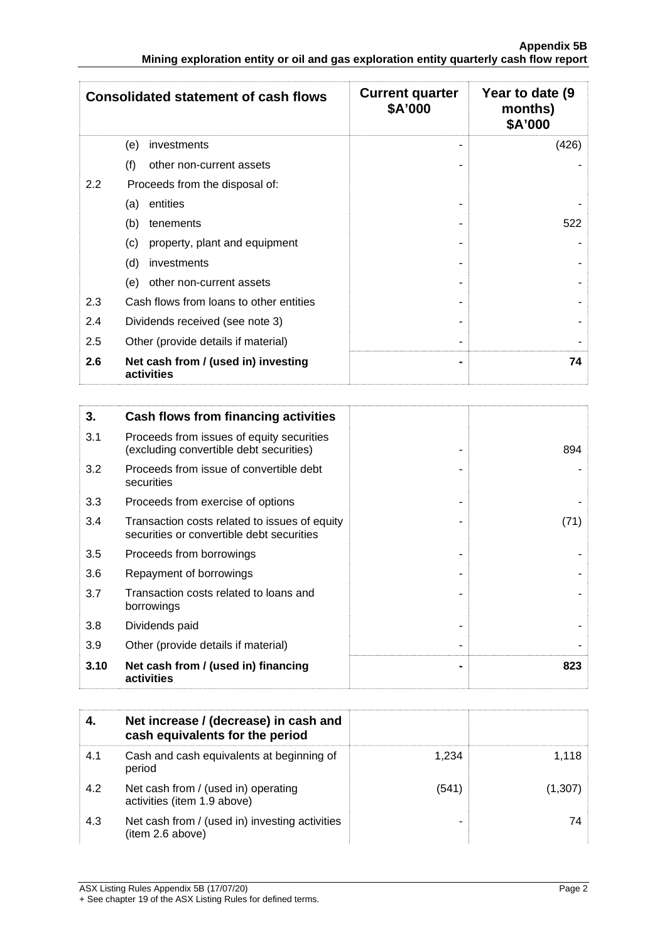| <b>Consolidated statement of cash flows</b> |                                                                                      | <b>Current quarter</b><br>Year to date (9)<br>\$A'000<br>months)<br>\$A'000 |       |
|---------------------------------------------|--------------------------------------------------------------------------------------|-----------------------------------------------------------------------------|-------|
|                                             | (e)<br>investments                                                                   |                                                                             | (426) |
|                                             | (f)<br>other non-current assets                                                      |                                                                             |       |
| 2.2                                         | Proceeds from the disposal of:                                                       |                                                                             |       |
|                                             | entities<br>(a)                                                                      |                                                                             |       |
|                                             | (b)<br>tenements                                                                     |                                                                             | 522   |
|                                             | (c)<br>property, plant and equipment                                                 |                                                                             |       |
|                                             | (d)<br>investments                                                                   |                                                                             |       |
|                                             | other non-current assets<br>(e)                                                      |                                                                             |       |
| 2.3                                         | Cash flows from loans to other entities                                              |                                                                             |       |
| 2.4                                         | Dividends received (see note 3)                                                      |                                                                             |       |
| 2.5                                         | Other (provide details if material)                                                  |                                                                             |       |
| 2.6                                         | Net cash from / (used in) investing<br>activities                                    |                                                                             | 74    |
|                                             |                                                                                      |                                                                             |       |
| 3.                                          | Cash flows from financing activities                                                 |                                                                             |       |
| 3.1                                         | Proceeds from issues of equity securities<br>(excluding convertible debt securities) |                                                                             | 894   |
|                                             |                                                                                      |                                                                             |       |

| 3.10 | Net cash from / (used in) financing<br>activities                                          | 823  |
|------|--------------------------------------------------------------------------------------------|------|
| 3.9  | Other (provide details if material)                                                        |      |
| 3.8  | Dividends paid                                                                             |      |
| 3.7  | Transaction costs related to loans and<br>borrowings                                       |      |
| 3.6  | Repayment of borrowings                                                                    |      |
| 3.5  | Proceeds from borrowings                                                                   |      |
| 3.4  | Transaction costs related to issues of equity<br>securities or convertible debt securities | (71) |
| 3.3  | Proceeds from exercise of options                                                          |      |
| 3.2  | Proceeds from issue of convertible debt<br>securities                                      |      |
|      | (excluding convertible debt securities)                                                    | 894  |

|     | Net increase / (decrease) in cash and<br>cash equivalents for the period |      |  |
|-----|--------------------------------------------------------------------------|------|--|
|     | Cash and cash equivalents at beginning of<br>period                      | -234 |  |
| 4.2 | Net cash from / (used in) operating<br>activities (item 1.9 above)       | (541 |  |
| 4.3 | Net cash from / (used in) investing activities<br>(item 2.6 above)       |      |  |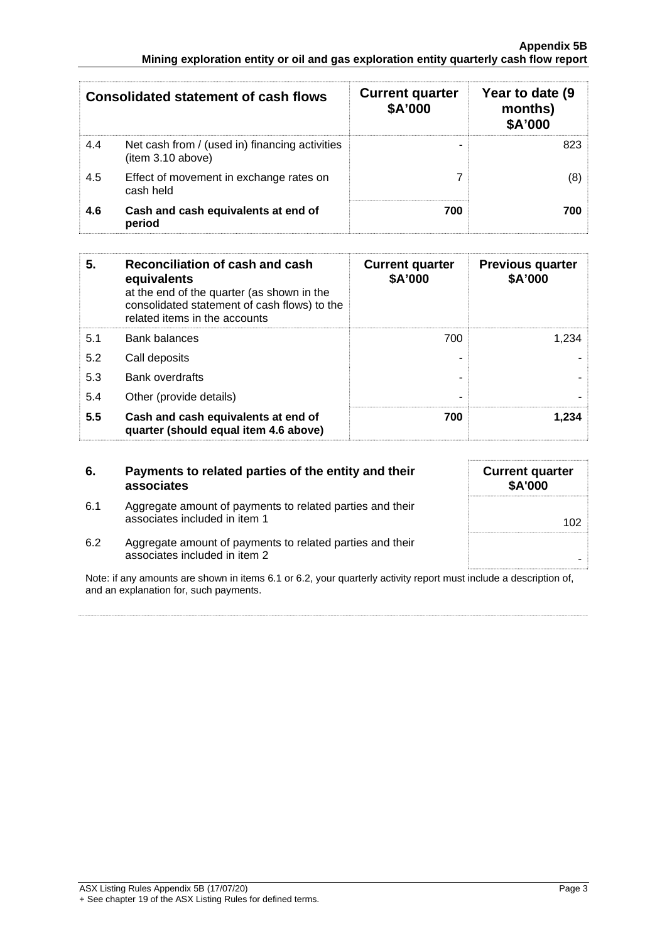| <b>Consolidated statement of cash flows</b> |                                                                     | <b>Current quarter</b><br>\$A'000 | Year to date (9<br>months)<br><b>\$A'000</b> |
|---------------------------------------------|---------------------------------------------------------------------|-----------------------------------|----------------------------------------------|
| 4.4                                         | Net cash from / (used in) financing activities<br>(item 3.10 above) | -                                 |                                              |
| 4.5                                         | Effect of movement in exchange rates on<br>cash held                |                                   |                                              |
| 4.6                                         | Cash and cash equivalents at end of<br>period                       | 700                               |                                              |

| 5   | Reconciliation of cash and cash<br>equivalents<br>at the end of the quarter (as shown in the<br>consolidated statement of cash flows) to the<br>related items in the accounts | <b>Current quarter</b><br>\$A'000 | <b>Previous quarter</b><br>\$A'000 |
|-----|-------------------------------------------------------------------------------------------------------------------------------------------------------------------------------|-----------------------------------|------------------------------------|
| 5.1 | <b>Bank balances</b>                                                                                                                                                          | 700                               | 234                                |
| 5.2 | Call deposits                                                                                                                                                                 |                                   |                                    |
| 5.3 | <b>Bank overdrafts</b>                                                                                                                                                        |                                   |                                    |
| 5.4 | Other (provide details)                                                                                                                                                       |                                   |                                    |
| 5.5 | Cash and cash equivalents at end of<br>quarter (should equal item 4.6 above)                                                                                                  | 700                               | .234                               |

| -6. | Payments to related parties of the entity and their<br>associates                                               | <b>Current quarter</b><br><b>\$A'000</b>                                                                                                                                                                                        |
|-----|-----------------------------------------------------------------------------------------------------------------|---------------------------------------------------------------------------------------------------------------------------------------------------------------------------------------------------------------------------------|
| 6.1 | Aggregate amount of payments to related parties and their<br>associates included in item 1                      | 102                                                                                                                                                                                                                             |
| 6.2 | Aggregate amount of payments to related parties and their<br>associates included in item 2                      |                                                                                                                                                                                                                                 |
|     | the contract of the contract of the contract of the contract of the contract of the contract of the contract of | $\sim$ . The contract of the contract of the contract of the contract of the contract of the contract of the contract of the contract of the contract of the contract of the contract of the contract of the contract of the co |

Note: if any amounts are shown in items 6.1 or 6.2, your quarterly activity report must include a description of, and an explanation for, such payments.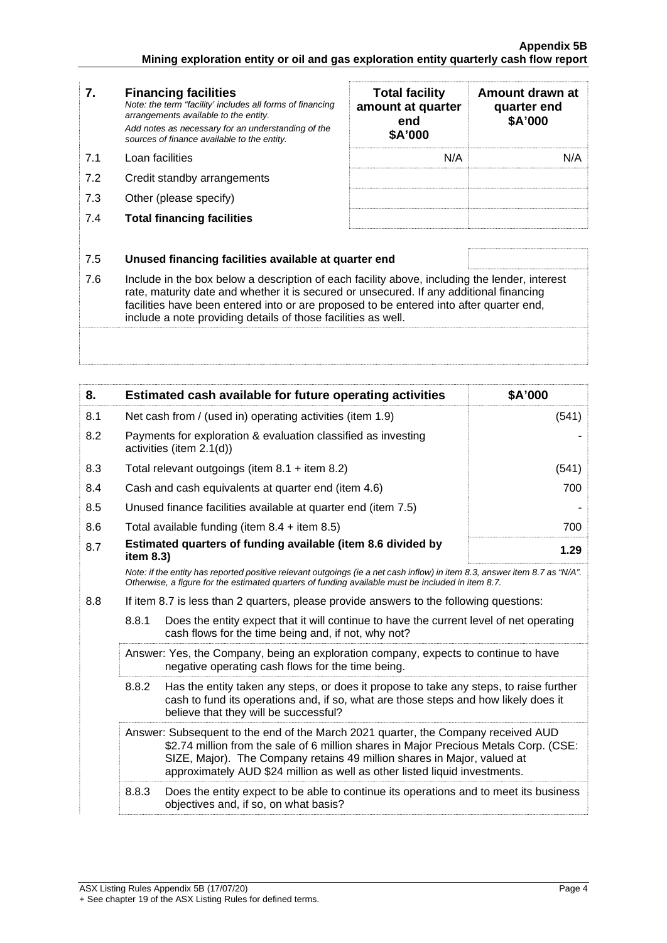| 7.  | <b>Financing facilities</b><br>Note: the term "facility' includes all forms of financing<br>arrangements available to the entity.<br>Add notes as necessary for an understanding of the<br>sources of finance available to the entity.                                                                                                               | <b>Total facility</b><br>amount at quarter<br>end<br>\$A'000 | Amount drawn at<br>quarter end<br>\$A'000 |
|-----|------------------------------------------------------------------------------------------------------------------------------------------------------------------------------------------------------------------------------------------------------------------------------------------------------------------------------------------------------|--------------------------------------------------------------|-------------------------------------------|
| 7.1 | Loan facilities                                                                                                                                                                                                                                                                                                                                      | N/A                                                          | N/A                                       |
| 7.2 | Credit standby arrangements                                                                                                                                                                                                                                                                                                                          |                                                              |                                           |
| 7.3 | Other (please specify)                                                                                                                                                                                                                                                                                                                               |                                                              |                                           |
| 7.4 | <b>Total financing facilities</b>                                                                                                                                                                                                                                                                                                                    |                                                              |                                           |
| 7.5 | Unused financing facilities available at quarter end                                                                                                                                                                                                                                                                                                 |                                                              |                                           |
| 7.6 | Include in the box below a description of each facility above, including the lender, interest<br>rate, maturity date and whether it is secured or unsecured. If any additional financing<br>facilities have been entered into or are proposed to be entered into after quarter end,<br>include a note providing details of those facilities as well. |                                                              |                                           |
|     |                                                                                                                                                                                                                                                                                                                                                      |                                                              |                                           |

| 8.  |                                                                                                                                                                                                                                                                                                                                     | Estimated cash available for future operating activities                                  | \$A'000 |
|-----|-------------------------------------------------------------------------------------------------------------------------------------------------------------------------------------------------------------------------------------------------------------------------------------------------------------------------------------|-------------------------------------------------------------------------------------------|---------|
| 8.1 | Net cash from / (used in) operating activities (item 1.9)                                                                                                                                                                                                                                                                           |                                                                                           | (541)   |
| 8.2 |                                                                                                                                                                                                                                                                                                                                     | Payments for exploration & evaluation classified as investing<br>activities (item 2.1(d)) |         |
| 8.3 |                                                                                                                                                                                                                                                                                                                                     | Total relevant outgoings (item $8.1 +$ item $8.2$ )                                       | (541)   |
| 8.4 |                                                                                                                                                                                                                                                                                                                                     | Cash and cash equivalents at quarter end (item 4.6)                                       | 700     |
| 8.5 |                                                                                                                                                                                                                                                                                                                                     | Unused finance facilities available at quarter end (item 7.5)                             |         |
| 8.6 |                                                                                                                                                                                                                                                                                                                                     | Total available funding (item $8.4 +$ item $8.5$ )                                        | 700     |
| 8.7 | Estimated quarters of funding available (item 8.6 divided by<br>1.29<br>item 8.3)                                                                                                                                                                                                                                                   |                                                                                           |         |
|     | Note: if the entity has reported positive relevant outgoings (ie a net cash inflow) in item 8.3, answer item 8.7 as "N/A".<br>Otherwise, a figure for the estimated quarters of funding available must be included in item 8.7.                                                                                                     |                                                                                           |         |
| 8.8 | If item 8.7 is less than 2 quarters, please provide answers to the following questions:                                                                                                                                                                                                                                             |                                                                                           |         |
|     | 8.8.1<br>Does the entity expect that it will continue to have the current level of net operating<br>cash flows for the time being and, if not, why not?                                                                                                                                                                             |                                                                                           |         |
|     | Answer: Yes, the Company, being an exploration company, expects to continue to have<br>negative operating cash flows for the time being.                                                                                                                                                                                            |                                                                                           |         |
|     | 8.8.2<br>Has the entity taken any steps, or does it propose to take any steps, to raise further<br>cash to fund its operations and, if so, what are those steps and how likely does it<br>believe that they will be successful?                                                                                                     |                                                                                           |         |
|     | Answer: Subsequent to the end of the March 2021 quarter, the Company received AUD<br>\$2.74 million from the sale of 6 million shares in Major Precious Metals Corp. (CSE:<br>SIZE, Major). The Company retains 49 million shares in Major, valued at<br>approximately AUD \$24 million as well as other listed liquid investments. |                                                                                           |         |
|     | 8.8.3<br>Does the entity expect to be able to continue its operations and to meet its business<br>objectives and, if so, on what basis?                                                                                                                                                                                             |                                                                                           |         |